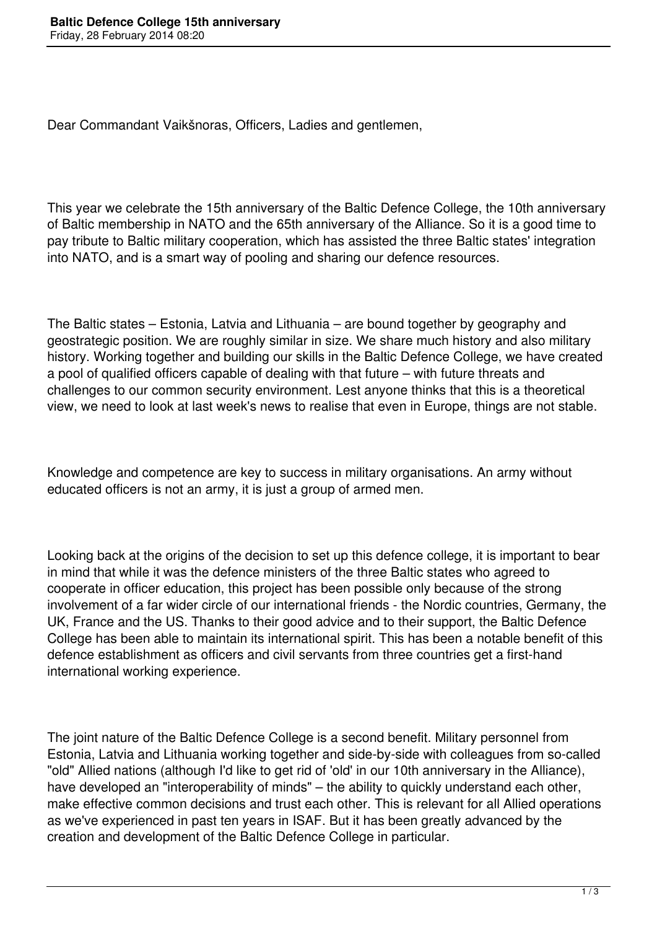Dear Commandant Vaikšnoras, Officers, Ladies and gentlemen,

This year we celebrate the 15th anniversary of the Baltic Defence College, the 10th anniversary of Baltic membership in NATO and the 65th anniversary of the Alliance. So it is a good time to pay tribute to Baltic military cooperation, which has assisted the three Baltic states' integration into NATO, and is a smart way of pooling and sharing our defence resources.

The Baltic states – Estonia, Latvia and Lithuania – are bound together by geography and geostrategic position. We are roughly similar in size. We share much history and also military history. Working together and building our skills in the Baltic Defence College, we have created a pool of qualified officers capable of dealing with that future – with future threats and challenges to our common security environment. Lest anyone thinks that this is a theoretical view, we need to look at last week's news to realise that even in Europe, things are not stable.

Knowledge and competence are key to success in military organisations. An army without educated officers is not an army, it is just a group of armed men.

Looking back at the origins of the decision to set up this defence college, it is important to bear in mind that while it was the defence ministers of the three Baltic states who agreed to cooperate in officer education, this project has been possible only because of the strong involvement of a far wider circle of our international friends - the Nordic countries, Germany, the UK, France and the US. Thanks to their good advice and to their support, the Baltic Defence College has been able to maintain its international spirit. This has been a notable benefit of this defence establishment as officers and civil servants from three countries get a first-hand international working experience.

The joint nature of the Baltic Defence College is a second benefit. Military personnel from Estonia, Latvia and Lithuania working together and side-by-side with colleagues from so-called "old" Allied nations (although I'd like to get rid of 'old' in our 10th anniversary in the Alliance), have developed an "interoperability of minds" – the ability to quickly understand each other, make effective common decisions and trust each other. This is relevant for all Allied operations as we've experienced in past ten years in ISAF. But it has been greatly advanced by the creation and development of the Baltic Defence College in particular.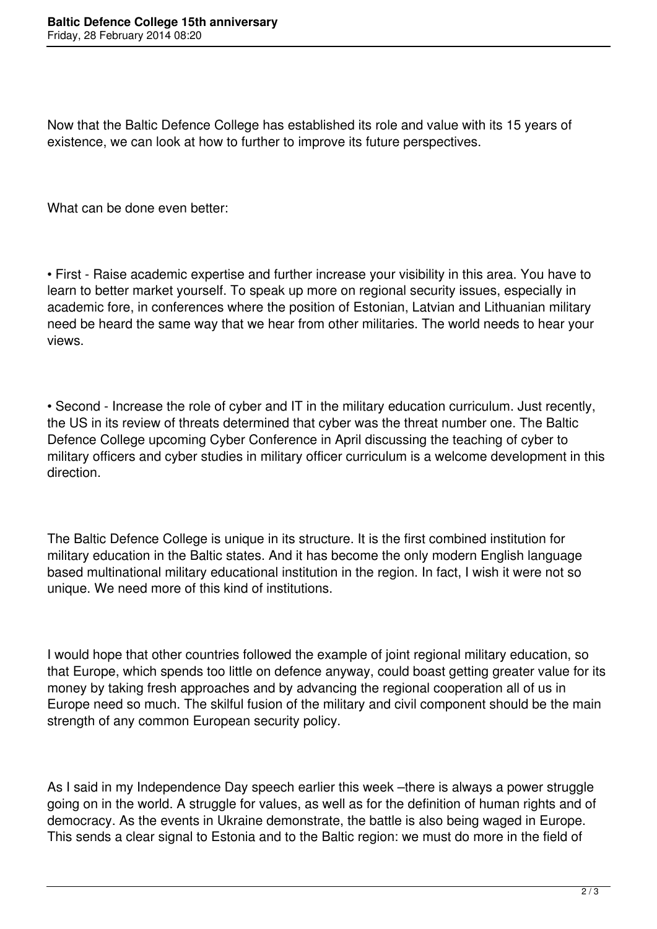Now that the Baltic Defence College has established its role and value with its 15 years of existence, we can look at how to further to improve its future perspectives.

What can be done even better:

• First - Raise academic expertise and further increase your visibility in this area. You have to learn to better market yourself. To speak up more on regional security issues, especially in academic fore, in conferences where the position of Estonian, Latvian and Lithuanian military need be heard the same way that we hear from other militaries. The world needs to hear your views.

• Second - Increase the role of cyber and IT in the military education curriculum. Just recently, the US in its review of threats determined that cyber was the threat number one. The Baltic Defence College upcoming Cyber Conference in April discussing the teaching of cyber to military officers and cyber studies in military officer curriculum is a welcome development in this direction.

The Baltic Defence College is unique in its structure. It is the first combined institution for military education in the Baltic states. And it has become the only modern English language based multinational military educational institution in the region. In fact, I wish it were not so unique. We need more of this kind of institutions.

I would hope that other countries followed the example of joint regional military education, so that Europe, which spends too little on defence anyway, could boast getting greater value for its money by taking fresh approaches and by advancing the regional cooperation all of us in Europe need so much. The skilful fusion of the military and civil component should be the main strength of any common European security policy.

As I said in my Independence Day speech earlier this week –there is always a power struggle going on in the world. A struggle for values, as well as for the definition of human rights and of democracy. As the events in Ukraine demonstrate, the battle is also being waged in Europe. This sends a clear signal to Estonia and to the Baltic region: we must do more in the field of